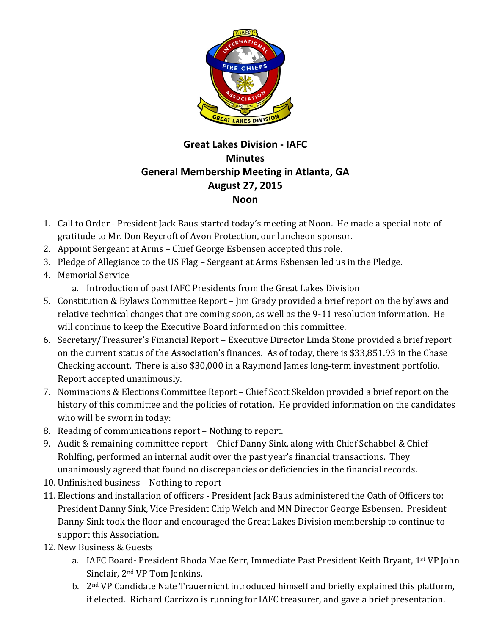

## **Great Lakes Division - IAFC Minutes General Membership Meeting in Atlanta, GA August 27, 2015 Noon**

- 1. Call to Order President Jack Baus started today's meeting at Noon. He made a special note of gratitude to Mr. Don Reycroft of Avon Protection, our luncheon sponsor.
- 2. Appoint Sergeant at Arms Chief George Esbensen accepted this role.
- 3. Pledge of Allegiance to the US Flag Sergeant at Arms Esbensen led us in the Pledge.
- 4. Memorial Service
	- a. Introduction of past IAFC Presidents from the Great Lakes Division
- 5. Constitution & Bylaws Committee Report Jim Grady provided a brief report on the bylaws and relative technical changes that are coming soon, as well as the 9-11 resolution information. He will continue to keep the Executive Board informed on this committee.
- 6. Secretary/Treasurer's Financial Report Executive Director Linda Stone provided a brief report on the current status of the Association's finances. As of today, there is \$33,851.93 in the Chase Checking account. There is also \$30,000 in a Raymond James long-term investment portfolio. Report accepted unanimously.
- 7. Nominations & Elections Committee Report Chief Scott Skeldon provided a brief report on the history of this committee and the policies of rotation. He provided information on the candidates who will be sworn in today:
- 8. Reading of communications report Nothing to report.
- 9. Audit & remaining committee report Chief Danny Sink, along with Chief Schabbel & Chief Rohlfing, performed an internal audit over the past year's financial transactions. They unanimously agreed that found no discrepancies or deficiencies in the financial records.
- 10. Unfinished business Nothing to report
- 11. Elections and installation of officers President Jack Baus administered the Oath of Officers to: President Danny Sink, Vice President Chip Welch and MN Director George Esbensen. President Danny Sink took the floor and encouraged the Great Lakes Division membership to continue to support this Association.
- 12. New Business & Guests
	- a. IAFC Board- President Rhoda Mae Kerr, Immediate Past President Keith Bryant, 1<sup>st</sup> VP John Sinclair, 2<sup>nd</sup> VP Tom Jenkins.
	- b. 2<sup>nd</sup> VP Candidate Nate Trauernicht introduced himself and briefly explained this platform, if elected. Richard Carrizzo is running for IAFC treasurer, and gave a brief presentation.